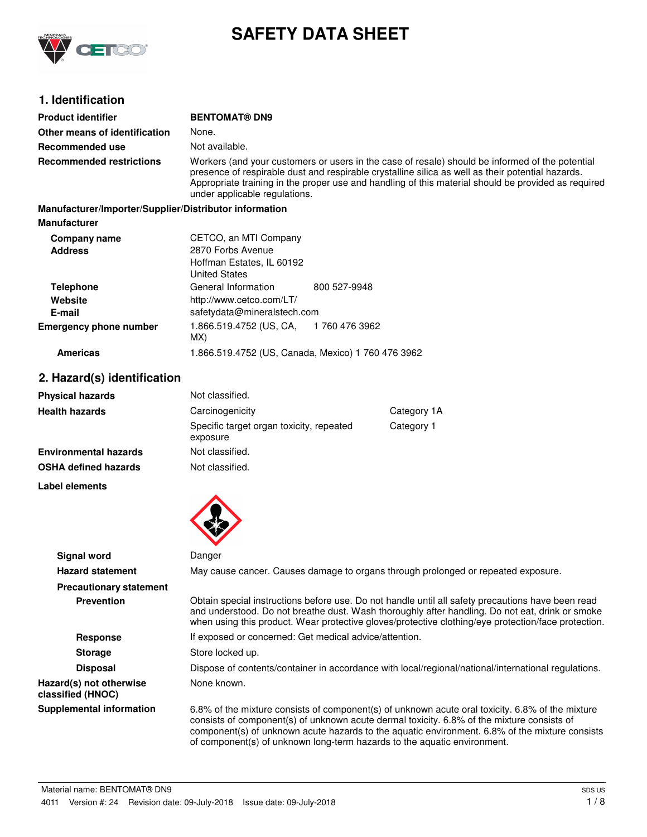

# **SAFETY DATA SHEET**

# **1. Identification**

| <b>Product identifier</b>                              | <b>BENTOMAT® DN9</b>                                                                                                                                                                                                                                                                                                                         |                |  |
|--------------------------------------------------------|----------------------------------------------------------------------------------------------------------------------------------------------------------------------------------------------------------------------------------------------------------------------------------------------------------------------------------------------|----------------|--|
| Other means of identification                          | None.                                                                                                                                                                                                                                                                                                                                        |                |  |
| Recommended use                                        | Not available.                                                                                                                                                                                                                                                                                                                               |                |  |
| <b>Recommended restrictions</b>                        | Workers (and your customers or users in the case of resale) should be informed of the potential<br>presence of respirable dust and respirable crystalline silica as well as their potential hazards.<br>Appropriate training in the proper use and handling of this material should be provided as required<br>under applicable regulations. |                |  |
| Manufacturer/Importer/Supplier/Distributor information |                                                                                                                                                                                                                                                                                                                                              |                |  |
| <b>Manufacturer</b>                                    |                                                                                                                                                                                                                                                                                                                                              |                |  |
| Company name                                           | CETCO, an MTI Company                                                                                                                                                                                                                                                                                                                        |                |  |
| <b>Address</b>                                         | 2870 Forbs Avenue<br>Hoffman Estates, IL 60192<br><b>United States</b>                                                                                                                                                                                                                                                                       |                |  |
| <b>Telephone</b>                                       | General Information                                                                                                                                                                                                                                                                                                                          | 800 527-9948   |  |
| Website                                                | http://www.cetco.com/LT/                                                                                                                                                                                                                                                                                                                     |                |  |
| E-mail                                                 | safetydata@mineralstech.com                                                                                                                                                                                                                                                                                                                  |                |  |
| <b>Emergency phone number</b>                          | 1.866.519.4752 (US, CA,<br>MX)                                                                                                                                                                                                                                                                                                               | 1 760 476 3962 |  |
| <b>Americas</b>                                        | 1.866.519.4752 (US, Canada, Mexico) 1 760 476 3962                                                                                                                                                                                                                                                                                           |                |  |

# **2. Hazard(s) identification**

| <b>Physical hazards</b>      | Not classified.                                      |             |
|------------------------------|------------------------------------------------------|-------------|
| <b>Health hazards</b>        | Carcinogenicity                                      | Category 1A |
|                              | Specific target organ toxicity, repeated<br>exposure | Category 1  |
| <b>Environmental hazards</b> | Not classified.                                      |             |
| <b>OSHA defined hazards</b>  | Not classified.                                      |             |

**Label elements**



|                                              | $\bullet$                                                                                                                                                                                                                                                                                                                                                                    |
|----------------------------------------------|------------------------------------------------------------------------------------------------------------------------------------------------------------------------------------------------------------------------------------------------------------------------------------------------------------------------------------------------------------------------------|
| Signal word                                  | Danger                                                                                                                                                                                                                                                                                                                                                                       |
| <b>Hazard statement</b>                      | May cause cancer. Causes damage to organs through prolonged or repeated exposure.                                                                                                                                                                                                                                                                                            |
| <b>Precautionary statement</b>               |                                                                                                                                                                                                                                                                                                                                                                              |
| <b>Prevention</b>                            | Obtain special instructions before use. Do not handle until all safety precautions have been read<br>and understood. Do not breathe dust. Wash thoroughly after handling. Do not eat, drink or smoke<br>when using this product. Wear protective gloves/protective clothing/eye protection/face protection.                                                                  |
| <b>Response</b>                              | If exposed or concerned: Get medical advice/attention.                                                                                                                                                                                                                                                                                                                       |
| <b>Storage</b>                               | Store locked up.                                                                                                                                                                                                                                                                                                                                                             |
| <b>Disposal</b>                              | Dispose of contents/container in accordance with local/regional/national/international regulations.                                                                                                                                                                                                                                                                          |
| Hazard(s) not otherwise<br>classified (HNOC) | None known.                                                                                                                                                                                                                                                                                                                                                                  |
| <b>Supplemental information</b>              | 6.8% of the mixture consists of component(s) of unknown acute oral toxicity. 6.8% of the mixture<br>consists of component(s) of unknown acute dermal toxicity. 6.8% of the mixture consists of<br>component(s) of unknown acute hazards to the aquatic environment. 6.8% of the mixture consists<br>of component(s) of unknown long-term hazards to the aquatic environment. |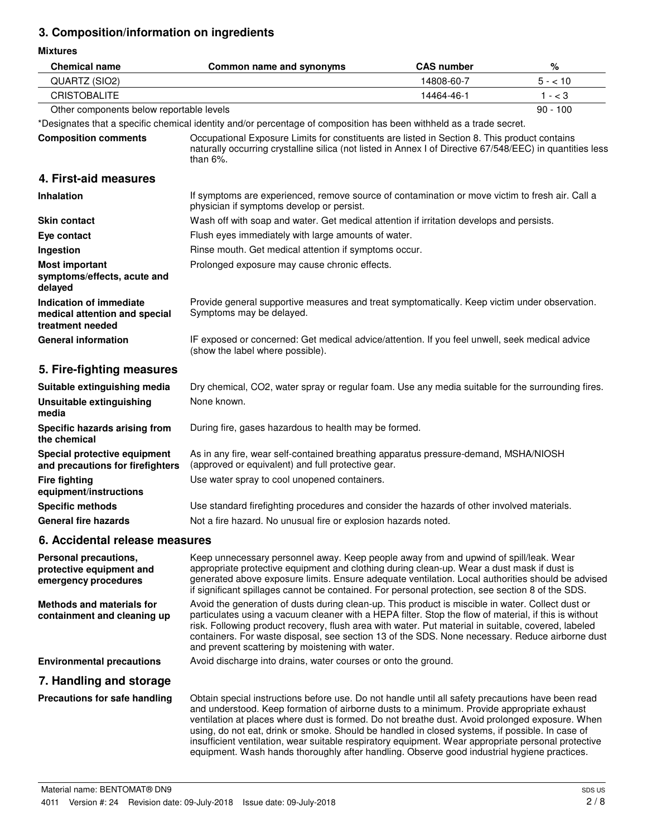# **3. Composition/information on ingredients**

**Mixtures**

| <b>Chemical name</b>                                                         | Common name and synonyms                                                                                                                                                                                                                                                                                                                                                                                                                                                                                                                                                                                    | <b>CAS number</b> | %          |
|------------------------------------------------------------------------------|-------------------------------------------------------------------------------------------------------------------------------------------------------------------------------------------------------------------------------------------------------------------------------------------------------------------------------------------------------------------------------------------------------------------------------------------------------------------------------------------------------------------------------------------------------------------------------------------------------------|-------------------|------------|
| QUARTZ (SIO2)                                                                |                                                                                                                                                                                                                                                                                                                                                                                                                                                                                                                                                                                                             | 14808-60-7        | $5 - 10$   |
| <b>CRISTOBALITE</b>                                                          |                                                                                                                                                                                                                                                                                                                                                                                                                                                                                                                                                                                                             | 14464-46-1        | $1 - < 3$  |
| Other components below reportable levels                                     |                                                                                                                                                                                                                                                                                                                                                                                                                                                                                                                                                                                                             |                   | $90 - 100$ |
|                                                                              | *Designates that a specific chemical identity and/or percentage of composition has been withheld as a trade secret.                                                                                                                                                                                                                                                                                                                                                                                                                                                                                         |                   |            |
| <b>Composition comments</b>                                                  | Occupational Exposure Limits for constituents are listed in Section 8. This product contains<br>naturally occurring crystalline silica (not listed in Annex I of Directive 67/548/EEC) in quantities less<br>than $6\%$ .                                                                                                                                                                                                                                                                                                                                                                                   |                   |            |
| 4. First-aid measures                                                        |                                                                                                                                                                                                                                                                                                                                                                                                                                                                                                                                                                                                             |                   |            |
| <b>Inhalation</b>                                                            | If symptoms are experienced, remove source of contamination or move victim to fresh air. Call a<br>physician if symptoms develop or persist.                                                                                                                                                                                                                                                                                                                                                                                                                                                                |                   |            |
| <b>Skin contact</b>                                                          | Wash off with soap and water. Get medical attention if irritation develops and persists.                                                                                                                                                                                                                                                                                                                                                                                                                                                                                                                    |                   |            |
| Eye contact                                                                  | Flush eyes immediately with large amounts of water.                                                                                                                                                                                                                                                                                                                                                                                                                                                                                                                                                         |                   |            |
| Ingestion                                                                    | Rinse mouth. Get medical attention if symptoms occur.                                                                                                                                                                                                                                                                                                                                                                                                                                                                                                                                                       |                   |            |
| <b>Most important</b><br>symptoms/effects, acute and<br>delayed              | Prolonged exposure may cause chronic effects.                                                                                                                                                                                                                                                                                                                                                                                                                                                                                                                                                               |                   |            |
| Indication of immediate<br>medical attention and special<br>treatment needed | Provide general supportive measures and treat symptomatically. Keep victim under observation.<br>Symptoms may be delayed.                                                                                                                                                                                                                                                                                                                                                                                                                                                                                   |                   |            |
| <b>General information</b>                                                   | IF exposed or concerned: Get medical advice/attention. If you feel unwell, seek medical advice<br>(show the label where possible).                                                                                                                                                                                                                                                                                                                                                                                                                                                                          |                   |            |
| 5. Fire-fighting measures                                                    |                                                                                                                                                                                                                                                                                                                                                                                                                                                                                                                                                                                                             |                   |            |
| Suitable extinguishing media                                                 | Dry chemical, CO2, water spray or regular foam. Use any media suitable for the surrounding fires.                                                                                                                                                                                                                                                                                                                                                                                                                                                                                                           |                   |            |
| <b>Unsuitable extinguishing</b><br>media                                     | None known.                                                                                                                                                                                                                                                                                                                                                                                                                                                                                                                                                                                                 |                   |            |
| Specific hazards arising from<br>the chemical                                | During fire, gases hazardous to health may be formed.                                                                                                                                                                                                                                                                                                                                                                                                                                                                                                                                                       |                   |            |
| Special protective equipment<br>and precautions for firefighters             | As in any fire, wear self-contained breathing apparatus pressure-demand, MSHA/NIOSH<br>(approved or equivalent) and full protective gear.                                                                                                                                                                                                                                                                                                                                                                                                                                                                   |                   |            |
| <b>Fire fighting</b><br>equipment/instructions                               | Use water spray to cool unopened containers.                                                                                                                                                                                                                                                                                                                                                                                                                                                                                                                                                                |                   |            |
| <b>Specific methods</b>                                                      | Use standard firefighting procedures and consider the hazards of other involved materials.                                                                                                                                                                                                                                                                                                                                                                                                                                                                                                                  |                   |            |
| <b>General fire hazards</b>                                                  | Not a fire hazard. No unusual fire or explosion hazards noted.                                                                                                                                                                                                                                                                                                                                                                                                                                                                                                                                              |                   |            |
| 6. Accidental release measures                                               |                                                                                                                                                                                                                                                                                                                                                                                                                                                                                                                                                                                                             |                   |            |
| Personal precautions,<br>protective equipment and<br>emergency procedures    | Keep unnecessary personnel away. Keep people away from and upwind of spill/leak. Wear<br>appropriate protective equipment and clothing during clean-up. Wear a dust mask if dust is<br>generated above exposure limits. Ensure adequate ventilation. Local authorities should be advised<br>if significant spillages cannot be contained. For personal protection, see section 8 of the SDS.                                                                                                                                                                                                                |                   |            |
| <b>Methods and materials for</b><br>containment and cleaning up              | Avoid the generation of dusts during clean-up. This product is miscible in water. Collect dust or<br>particulates using a vacuum cleaner with a HEPA filter. Stop the flow of material, if this is without<br>risk. Following product recovery, flush area with water. Put material in suitable, covered, labeled<br>containers. For waste disposal, see section 13 of the SDS. None necessary. Reduce airborne dust<br>and prevent scattering by moistening with water.                                                                                                                                    |                   |            |
| <b>Environmental precautions</b>                                             | Avoid discharge into drains, water courses or onto the ground.                                                                                                                                                                                                                                                                                                                                                                                                                                                                                                                                              |                   |            |
| 7. Handling and storage                                                      |                                                                                                                                                                                                                                                                                                                                                                                                                                                                                                                                                                                                             |                   |            |
| Precautions for safe handling                                                | Obtain special instructions before use. Do not handle until all safety precautions have been read<br>and understood. Keep formation of airborne dusts to a minimum. Provide appropriate exhaust<br>ventilation at places where dust is formed. Do not breathe dust. Avoid prolonged exposure. When<br>using, do not eat, drink or smoke. Should be handled in closed systems, if possible. In case of<br>insufficient ventilation, wear suitable respiratory equipment. Wear appropriate personal protective<br>equipment. Wash hands thoroughly after handling. Observe good industrial hygiene practices. |                   |            |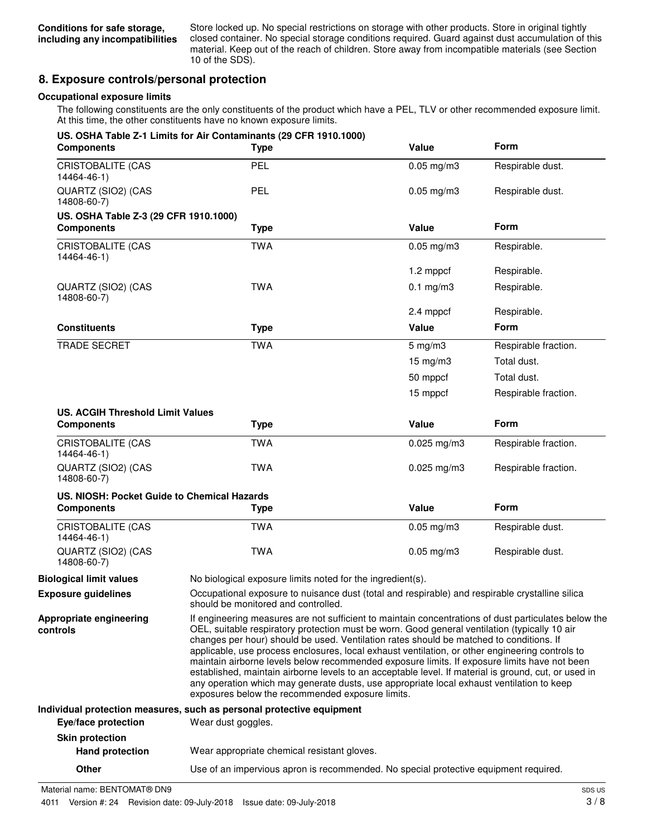Store locked up. No special restrictions on storage with other products. Store in original tightly closed container. No special storage conditions required. Guard against dust accumulation of this material. Keep out of the reach of children. Store away from incompatible materials (see Section 10 of the SDS).

# **8. Exposure controls/personal protection**

#### **Occupational exposure limits**

The following constituents are the only constituents of the product which have a PEL, TLV or other recommended exposure limit. At this time, the other constituents have no known exposure limits.

| <b>Components</b>                           | US. OSHA Table Z-1 Limits for Air Contaminants (29 CFR 1910.1000)<br><b>Type</b>                                                       | Value                                                                                                                                                                                                                                                                                                                                                                                                                                                                                                                                                                                                                                                                                                                                                        | <b>Form</b>          |
|---------------------------------------------|----------------------------------------------------------------------------------------------------------------------------------------|--------------------------------------------------------------------------------------------------------------------------------------------------------------------------------------------------------------------------------------------------------------------------------------------------------------------------------------------------------------------------------------------------------------------------------------------------------------------------------------------------------------------------------------------------------------------------------------------------------------------------------------------------------------------------------------------------------------------------------------------------------------|----------------------|
| <b>CRISTOBALITE (CAS</b><br>14464-46-1)     | PEL                                                                                                                                    | $0.05$ mg/m $3$                                                                                                                                                                                                                                                                                                                                                                                                                                                                                                                                                                                                                                                                                                                                              | Respirable dust.     |
| QUARTZ (SIO2) (CAS<br>14808-60-7)           | <b>PEL</b>                                                                                                                             | $0.05$ mg/m $3$                                                                                                                                                                                                                                                                                                                                                                                                                                                                                                                                                                                                                                                                                                                                              | Respirable dust.     |
| US. OSHA Table Z-3 (29 CFR 1910.1000)       |                                                                                                                                        |                                                                                                                                                                                                                                                                                                                                                                                                                                                                                                                                                                                                                                                                                                                                                              |                      |
| <b>Components</b>                           | <b>Type</b>                                                                                                                            | Value                                                                                                                                                                                                                                                                                                                                                                                                                                                                                                                                                                                                                                                                                                                                                        | <b>Form</b>          |
| CRISTOBALITE (CAS<br>14464-46-1)            | <b>TWA</b>                                                                                                                             | $0.05$ mg/m $3$                                                                                                                                                                                                                                                                                                                                                                                                                                                                                                                                                                                                                                                                                                                                              | Respirable.          |
|                                             |                                                                                                                                        | 1.2 mppcf                                                                                                                                                                                                                                                                                                                                                                                                                                                                                                                                                                                                                                                                                                                                                    | Respirable.          |
| QUARTZ (SIO2) (CAS<br>14808-60-7)           | <b>TWA</b>                                                                                                                             | $0.1$ mg/m $3$                                                                                                                                                                                                                                                                                                                                                                                                                                                                                                                                                                                                                                                                                                                                               | Respirable.          |
|                                             |                                                                                                                                        | 2.4 mppcf                                                                                                                                                                                                                                                                                                                                                                                                                                                                                                                                                                                                                                                                                                                                                    | Respirable.          |
| <b>Constituents</b>                         | <b>Type</b>                                                                                                                            | Value                                                                                                                                                                                                                                                                                                                                                                                                                                                                                                                                                                                                                                                                                                                                                        | <b>Form</b>          |
| <b>TRADE SECRET</b>                         | <b>TWA</b>                                                                                                                             | $5$ mg/m $3$                                                                                                                                                                                                                                                                                                                                                                                                                                                                                                                                                                                                                                                                                                                                                 | Respirable fraction. |
|                                             |                                                                                                                                        | $15 \text{ mg/m}$ 3                                                                                                                                                                                                                                                                                                                                                                                                                                                                                                                                                                                                                                                                                                                                          | Total dust.          |
|                                             |                                                                                                                                        | 50 mppcf                                                                                                                                                                                                                                                                                                                                                                                                                                                                                                                                                                                                                                                                                                                                                     | Total dust.          |
|                                             |                                                                                                                                        | 15 mppcf                                                                                                                                                                                                                                                                                                                                                                                                                                                                                                                                                                                                                                                                                                                                                     | Respirable fraction. |
| <b>US. ACGIH Threshold Limit Values</b>     |                                                                                                                                        |                                                                                                                                                                                                                                                                                                                                                                                                                                                                                                                                                                                                                                                                                                                                                              |                      |
| <b>Components</b>                           | <b>Type</b>                                                                                                                            | Value                                                                                                                                                                                                                                                                                                                                                                                                                                                                                                                                                                                                                                                                                                                                                        | Form                 |
| <b>CRISTOBALITE (CAS</b><br>14464-46-1)     | <b>TWA</b>                                                                                                                             | $0.025$ mg/m3                                                                                                                                                                                                                                                                                                                                                                                                                                                                                                                                                                                                                                                                                                                                                | Respirable fraction. |
| QUARTZ (SIO2) (CAS<br>14808-60-7)           | <b>TWA</b>                                                                                                                             | $0.025$ mg/m $3$                                                                                                                                                                                                                                                                                                                                                                                                                                                                                                                                                                                                                                                                                                                                             | Respirable fraction. |
| US. NIOSH: Pocket Guide to Chemical Hazards |                                                                                                                                        |                                                                                                                                                                                                                                                                                                                                                                                                                                                                                                                                                                                                                                                                                                                                                              |                      |
| <b>Components</b>                           | <b>Type</b>                                                                                                                            | Value                                                                                                                                                                                                                                                                                                                                                                                                                                                                                                                                                                                                                                                                                                                                                        | Form                 |
| <b>CRISTOBALITE (CAS</b><br>14464-46-1)     | <b>TWA</b>                                                                                                                             | $0.05$ mg/m $3$                                                                                                                                                                                                                                                                                                                                                                                                                                                                                                                                                                                                                                                                                                                                              | Respirable dust.     |
| QUARTZ (SIO2) (CAS<br>14808-60-7)           | <b>TWA</b>                                                                                                                             | $0.05$ mg/m $3$                                                                                                                                                                                                                                                                                                                                                                                                                                                                                                                                                                                                                                                                                                                                              | Respirable dust.     |
| <b>Biological limit values</b>              | No biological exposure limits noted for the ingredient(s).                                                                             |                                                                                                                                                                                                                                                                                                                                                                                                                                                                                                                                                                                                                                                                                                                                                              |                      |
| <b>Exposure guidelines</b>                  | Occupational exposure to nuisance dust (total and respirable) and respirable crystalline silica<br>should be monitored and controlled. |                                                                                                                                                                                                                                                                                                                                                                                                                                                                                                                                                                                                                                                                                                                                                              |                      |
| Appropriate engineering<br>controls         |                                                                                                                                        | If engineering measures are not sufficient to maintain concentrations of dust particulates below the<br>OEL, suitable respiratory protection must be worn. Good general ventilation (typically 10 air<br>changes per hour) should be used. Ventilation rates should be matched to conditions. If<br>applicable, use process enclosures, local exhaust ventilation, or other engineering controls to<br>maintain airborne levels below recommended exposure limits. If exposure limits have not been<br>established, maintain airborne levels to an acceptable level. If material is ground, cut, or used in<br>any operation which may generate dusts, use appropriate local exhaust ventilation to keep<br>exposures below the recommended exposure limits. |                      |
|                                             | Individual protection measures, such as personal protective equipment                                                                  |                                                                                                                                                                                                                                                                                                                                                                                                                                                                                                                                                                                                                                                                                                                                                              |                      |
| Eye/face protection                         | Wear dust goggles.                                                                                                                     |                                                                                                                                                                                                                                                                                                                                                                                                                                                                                                                                                                                                                                                                                                                                                              |                      |
| <b>Skin protection</b>                      |                                                                                                                                        |                                                                                                                                                                                                                                                                                                                                                                                                                                                                                                                                                                                                                                                                                                                                                              |                      |
| <b>Hand protection</b>                      | Wear appropriate chemical resistant gloves.                                                                                            |                                                                                                                                                                                                                                                                                                                                                                                                                                                                                                                                                                                                                                                                                                                                                              |                      |

**Other** Use of an impervious apron is recommended. No special protective equipment required.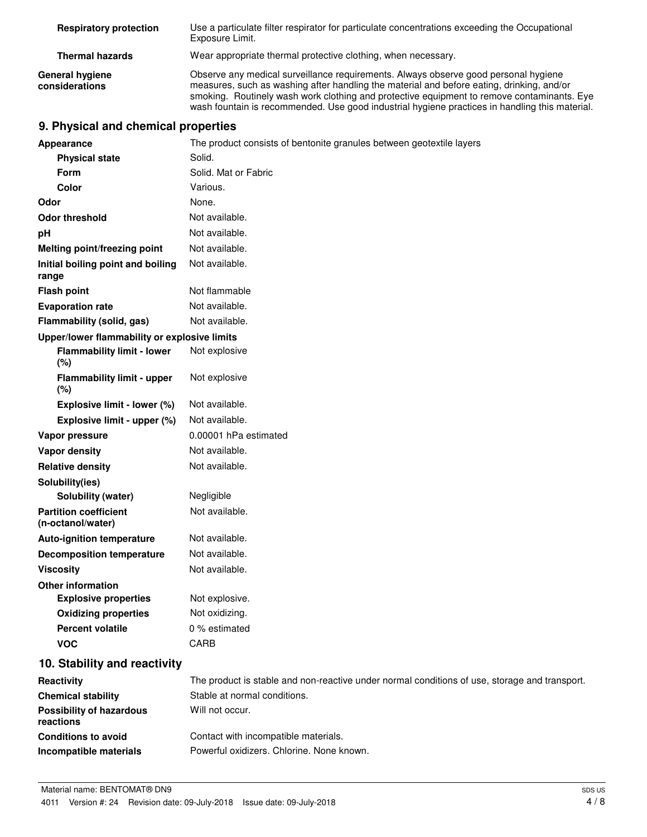| <b>Respiratory protection</b>            | Use a particulate filter respirator for particulate concentrations exceeding the Occupational<br>Exposure Limit.                                                                                                                                                                                                                                                                 |
|------------------------------------------|----------------------------------------------------------------------------------------------------------------------------------------------------------------------------------------------------------------------------------------------------------------------------------------------------------------------------------------------------------------------------------|
| <b>Thermal hazards</b>                   | Wear appropriate thermal protective clothing, when necessary.                                                                                                                                                                                                                                                                                                                    |
| <b>General hygiene</b><br>considerations | Observe any medical surveillance requirements. Always observe good personal hygiene<br>measures, such as washing after handling the material and before eating, drinking, and/or<br>smoking. Routinely wash work clothing and protective equipment to remove contaminants. Eye<br>wash fountain is recommended. Use good industrial hygiene practices in handling this material. |

# **9. Physical and chemical properties**

| <b>Appearance</b>                                 | The product consists of bentonite granules between geotextile layers                          |
|---------------------------------------------------|-----------------------------------------------------------------------------------------------|
| <b>Physical state</b>                             | Solid.                                                                                        |
| <b>Form</b>                                       | Solid. Mat or Fabric                                                                          |
| Color                                             | Various.                                                                                      |
| Odor                                              | None.                                                                                         |
| <b>Odor threshold</b>                             | Not available.                                                                                |
| рH                                                | Not available.                                                                                |
| <b>Melting point/freezing point</b>               | Not available.                                                                                |
| Initial boiling point and boiling<br>range        | Not available.                                                                                |
| <b>Flash point</b>                                | Not flammable                                                                                 |
| <b>Evaporation rate</b>                           | Not available.                                                                                |
| Flammability (solid, gas)                         | Not available.                                                                                |
| Upper/lower flammability or explosive limits      |                                                                                               |
| <b>Flammability limit - lower</b><br>$(\%)$       | Not explosive                                                                                 |
| <b>Flammability limit - upper</b><br>(%)          | Not explosive                                                                                 |
| Explosive limit - lower (%)                       | Not available.                                                                                |
| Explosive limit - upper (%)                       | Not available.                                                                                |
| Vapor pressure                                    | 0.00001 hPa estimated                                                                         |
| Vapor density                                     | Not available.                                                                                |
| <b>Relative density</b>                           | Not available.                                                                                |
| Solubility(ies)                                   |                                                                                               |
| Solubility (water)                                | Negligible                                                                                    |
| <b>Partition coefficient</b><br>(n-octanol/water) | Not available.                                                                                |
| <b>Auto-ignition temperature</b>                  | Not available.                                                                                |
| <b>Decomposition temperature</b>                  | Not available.                                                                                |
| <b>Viscosity</b>                                  | Not available.                                                                                |
| <b>Other information</b>                          |                                                                                               |
| <b>Explosive properties</b>                       | Not explosive.                                                                                |
| <b>Oxidizing properties</b>                       | Not oxidizing.                                                                                |
| <b>Percent volatile</b>                           | 0 % estimated                                                                                 |
| <b>VOC</b>                                        | CARB                                                                                          |
| 10. Stability and reactivity                      |                                                                                               |
| Reactivity                                        | The product is stable and non-reactive under normal conditions of use, storage and transport. |
| <b>Chemical stability</b>                         | Stable at normal conditions.                                                                  |
| <b>Possibility of hazardous</b><br>reactions      | Will not occur.                                                                               |
| <b>Conditions to avoid</b>                        | Contact with incompatible materials.                                                          |
| Incompatible materials                            | Powerful oxidizers. Chlorine. None known.                                                     |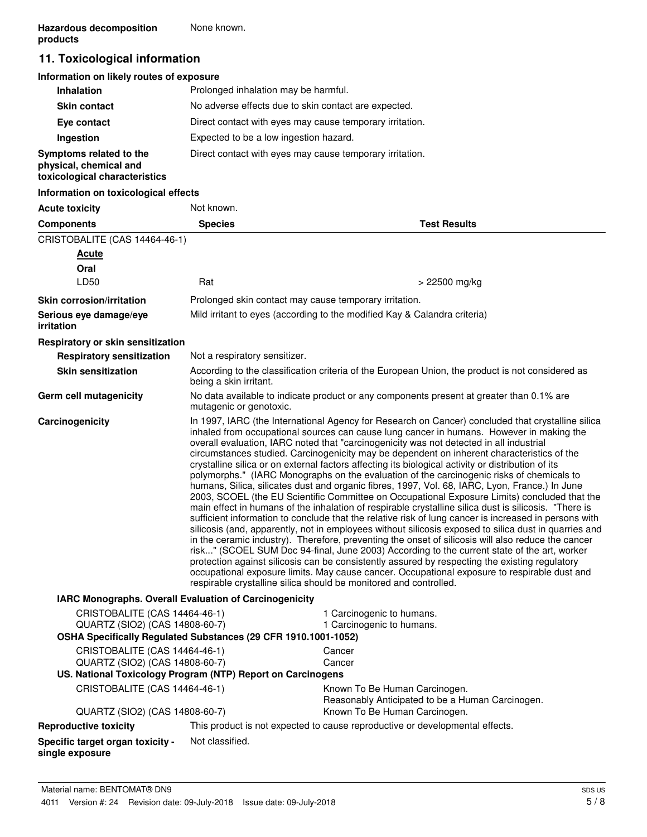# **11. Toxicological information**

### **Information on likely routes of exposure**

| <b>Inhalation</b>                                                                  | Prolonged inhalation may be harmful.                     |
|------------------------------------------------------------------------------------|----------------------------------------------------------|
| <b>Skin contact</b>                                                                | No adverse effects due to skin contact are expected.     |
| Eye contact                                                                        | Direct contact with eyes may cause temporary irritation. |
| Ingestion                                                                          | Expected to be a low ingestion hazard.                   |
| Symptoms related to the<br>physical, chemical and<br>toxicological characteristics | Direct contact with eyes may cause temporary irritation. |

#### **Information on toxicological effects**

| <b>Acute toxicity</b>                                                                                                             | Not known.                    |                                                                                                                                                                                                                                                                                                                                                                                                                                                                                                                                                                                                                                                                                                                                                                                                                                                                                                                                                                                                                                                                                                                                                                                                                                                                                                                                                                                                                                                                                                                                                                                                    |
|-----------------------------------------------------------------------------------------------------------------------------------|-------------------------------|----------------------------------------------------------------------------------------------------------------------------------------------------------------------------------------------------------------------------------------------------------------------------------------------------------------------------------------------------------------------------------------------------------------------------------------------------------------------------------------------------------------------------------------------------------------------------------------------------------------------------------------------------------------------------------------------------------------------------------------------------------------------------------------------------------------------------------------------------------------------------------------------------------------------------------------------------------------------------------------------------------------------------------------------------------------------------------------------------------------------------------------------------------------------------------------------------------------------------------------------------------------------------------------------------------------------------------------------------------------------------------------------------------------------------------------------------------------------------------------------------------------------------------------------------------------------------------------------------|
| <b>Components</b>                                                                                                                 | <b>Species</b>                | <b>Test Results</b>                                                                                                                                                                                                                                                                                                                                                                                                                                                                                                                                                                                                                                                                                                                                                                                                                                                                                                                                                                                                                                                                                                                                                                                                                                                                                                                                                                                                                                                                                                                                                                                |
| CRISTOBALITE (CAS 14464-46-1)                                                                                                     |                               |                                                                                                                                                                                                                                                                                                                                                                                                                                                                                                                                                                                                                                                                                                                                                                                                                                                                                                                                                                                                                                                                                                                                                                                                                                                                                                                                                                                                                                                                                                                                                                                                    |
| <b>Acute</b>                                                                                                                      |                               |                                                                                                                                                                                                                                                                                                                                                                                                                                                                                                                                                                                                                                                                                                                                                                                                                                                                                                                                                                                                                                                                                                                                                                                                                                                                                                                                                                                                                                                                                                                                                                                                    |
| Oral                                                                                                                              |                               |                                                                                                                                                                                                                                                                                                                                                                                                                                                                                                                                                                                                                                                                                                                                                                                                                                                                                                                                                                                                                                                                                                                                                                                                                                                                                                                                                                                                                                                                                                                                                                                                    |
| LD50                                                                                                                              | Rat                           | $> 22500$ mg/kg                                                                                                                                                                                                                                                                                                                                                                                                                                                                                                                                                                                                                                                                                                                                                                                                                                                                                                                                                                                                                                                                                                                                                                                                                                                                                                                                                                                                                                                                                                                                                                                    |
| <b>Skin corrosion/irritation</b>                                                                                                  |                               | Prolonged skin contact may cause temporary irritation.                                                                                                                                                                                                                                                                                                                                                                                                                                                                                                                                                                                                                                                                                                                                                                                                                                                                                                                                                                                                                                                                                                                                                                                                                                                                                                                                                                                                                                                                                                                                             |
| Serious eye damage/eye<br>irritation                                                                                              |                               | Mild irritant to eyes (according to the modified Kay & Calandra criteria)                                                                                                                                                                                                                                                                                                                                                                                                                                                                                                                                                                                                                                                                                                                                                                                                                                                                                                                                                                                                                                                                                                                                                                                                                                                                                                                                                                                                                                                                                                                          |
| Respiratory or skin sensitization                                                                                                 |                               |                                                                                                                                                                                                                                                                                                                                                                                                                                                                                                                                                                                                                                                                                                                                                                                                                                                                                                                                                                                                                                                                                                                                                                                                                                                                                                                                                                                                                                                                                                                                                                                                    |
| <b>Respiratory sensitization</b>                                                                                                  | Not a respiratory sensitizer. |                                                                                                                                                                                                                                                                                                                                                                                                                                                                                                                                                                                                                                                                                                                                                                                                                                                                                                                                                                                                                                                                                                                                                                                                                                                                                                                                                                                                                                                                                                                                                                                                    |
| <b>Skin sensitization</b>                                                                                                         | being a skin irritant.        | According to the classification criteria of the European Union, the product is not considered as                                                                                                                                                                                                                                                                                                                                                                                                                                                                                                                                                                                                                                                                                                                                                                                                                                                                                                                                                                                                                                                                                                                                                                                                                                                                                                                                                                                                                                                                                                   |
| Germ cell mutagenicity                                                                                                            | mutagenic or genotoxic.       | No data available to indicate product or any components present at greater than 0.1% are                                                                                                                                                                                                                                                                                                                                                                                                                                                                                                                                                                                                                                                                                                                                                                                                                                                                                                                                                                                                                                                                                                                                                                                                                                                                                                                                                                                                                                                                                                           |
| Carcinogenicity                                                                                                                   |                               | In 1997, IARC (the International Agency for Research on Cancer) concluded that crystalline silica<br>inhaled from occupational sources can cause lung cancer in humans. However in making the<br>overall evaluation, IARC noted that "carcinogenicity was not detected in all industrial<br>circumstances studied. Carcinogenicity may be dependent on inherent characteristics of the<br>crystalline silica or on external factors affecting its biological activity or distribution of its<br>polymorphs." (IARC Monographs on the evaluation of the carcinogenic risks of chemicals to<br>humans, Silica, silicates dust and organic fibres, 1997, Vol. 68, IARC, Lyon, France.) In June<br>2003, SCOEL (the EU Scientific Committee on Occupational Exposure Limits) concluded that the<br>main effect in humans of the inhalation of respirable crystalline silica dust is silicosis. "There is<br>sufficient information to conclude that the relative risk of lung cancer is increased in persons with<br>silicosis (and, apparently, not in employees without silicosis exposed to silica dust in quarries and<br>in the ceramic industry). Therefore, preventing the onset of silicosis will also reduce the cancer<br>risk" (SCOEL SUM Doc 94-final, June 2003) According to the current state of the art, worker<br>protection against silicosis can be consistently assured by respecting the existing regulatory<br>occupational exposure limits. May cause cancer. Occupational exposure to respirable dust and<br>respirable crystalline silica should be monitored and controlled. |
| IARC Monographs. Overall Evaluation of Carcinogenicity                                                                            |                               |                                                                                                                                                                                                                                                                                                                                                                                                                                                                                                                                                                                                                                                                                                                                                                                                                                                                                                                                                                                                                                                                                                                                                                                                                                                                                                                                                                                                                                                                                                                                                                                                    |
| CRISTOBALITE (CAS 14464-46-1)<br>QUARTZ (SIO2) (CAS 14808-60-7)<br>OSHA Specifically Regulated Substances (29 CFR 1910.1001-1052) |                               | 1 Carcinogenic to humans.<br>1 Carcinogenic to humans.                                                                                                                                                                                                                                                                                                                                                                                                                                                                                                                                                                                                                                                                                                                                                                                                                                                                                                                                                                                                                                                                                                                                                                                                                                                                                                                                                                                                                                                                                                                                             |
| CRISTOBALITE (CAS 14464-46-1)                                                                                                     |                               | Cancer                                                                                                                                                                                                                                                                                                                                                                                                                                                                                                                                                                                                                                                                                                                                                                                                                                                                                                                                                                                                                                                                                                                                                                                                                                                                                                                                                                                                                                                                                                                                                                                             |
| QUARTZ (SIO2) (CAS 14808-60-7)                                                                                                    |                               | Cancer                                                                                                                                                                                                                                                                                                                                                                                                                                                                                                                                                                                                                                                                                                                                                                                                                                                                                                                                                                                                                                                                                                                                                                                                                                                                                                                                                                                                                                                                                                                                                                                             |
| US. National Toxicology Program (NTP) Report on Carcinogens                                                                       |                               |                                                                                                                                                                                                                                                                                                                                                                                                                                                                                                                                                                                                                                                                                                                                                                                                                                                                                                                                                                                                                                                                                                                                                                                                                                                                                                                                                                                                                                                                                                                                                                                                    |
| CRISTOBALITE (CAS 14464-46-1)                                                                                                     |                               | Known To Be Human Carcinogen.<br>Reasonably Anticipated to be a Human Carcinogen.                                                                                                                                                                                                                                                                                                                                                                                                                                                                                                                                                                                                                                                                                                                                                                                                                                                                                                                                                                                                                                                                                                                                                                                                                                                                                                                                                                                                                                                                                                                  |
| QUARTZ (SIO2) (CAS 14808-60-7)                                                                                                    |                               | Known To Be Human Carcinogen.                                                                                                                                                                                                                                                                                                                                                                                                                                                                                                                                                                                                                                                                                                                                                                                                                                                                                                                                                                                                                                                                                                                                                                                                                                                                                                                                                                                                                                                                                                                                                                      |
| <b>Reproductive toxicity</b>                                                                                                      |                               | This product is not expected to cause reproductive or developmental effects.                                                                                                                                                                                                                                                                                                                                                                                                                                                                                                                                                                                                                                                                                                                                                                                                                                                                                                                                                                                                                                                                                                                                                                                                                                                                                                                                                                                                                                                                                                                       |
| Specific target organ toxicity -<br>single exposure                                                                               | Not classified.               |                                                                                                                                                                                                                                                                                                                                                                                                                                                                                                                                                                                                                                                                                                                                                                                                                                                                                                                                                                                                                                                                                                                                                                                                                                                                                                                                                                                                                                                                                                                                                                                                    |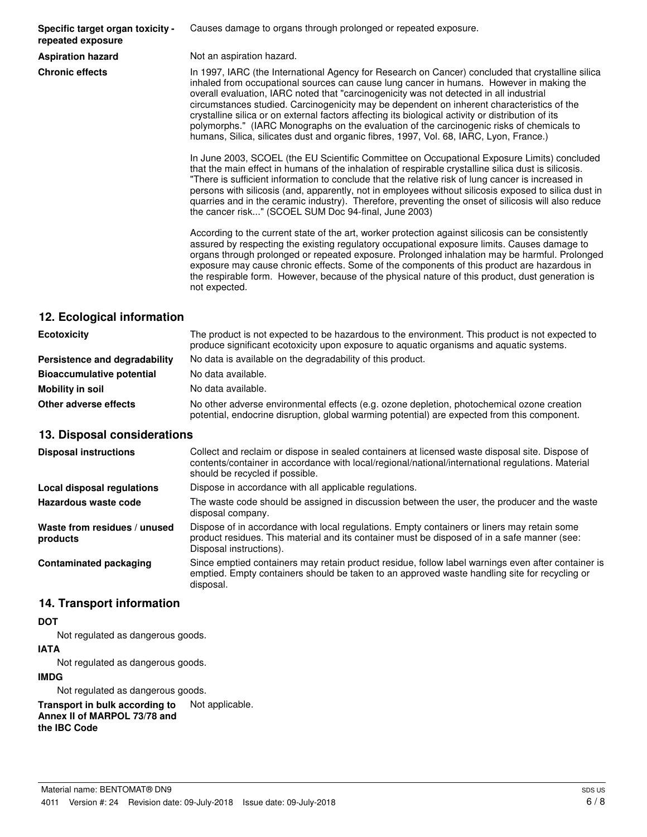**Specific target organ toxicity repeated exposure**

Causes damage to organs through prolonged or repeated exposure.

**Aspiration hazard** Not an aspiration hazard.

**Chronic effects** In 1997, IARC (the International Agency for Research on Cancer) concluded that crystalline silica inhaled from occupational sources can cause lung cancer in humans. However in making the overall evaluation, IARC noted that "carcinogenicity was not detected in all industrial circumstances studied. Carcinogenicity may be dependent on inherent characteristics of the crystalline silica or on external factors affecting its biological activity or distribution of its polymorphs." (IARC Monographs on the evaluation of the carcinogenic risks of chemicals to humans, Silica, silicates dust and organic fibres, 1997, Vol. 68, IARC, Lyon, France.)

> In June 2003, SCOEL (the EU Scientific Committee on Occupational Exposure Limits) concluded that the main effect in humans of the inhalation of respirable crystalline silica dust is silicosis. "There is sufficient information to conclude that the relative risk of lung cancer is increased in persons with silicosis (and, apparently, not in employees without silicosis exposed to silica dust in quarries and in the ceramic industry). Therefore, preventing the onset of silicosis will also reduce the cancer risk..." (SCOEL SUM Doc 94-final, June 2003)

> According to the current state of the art, worker protection against silicosis can be consistently assured by respecting the existing regulatory occupational exposure limits. Causes damage to organs through prolonged or repeated exposure. Prolonged inhalation may be harmful. Prolonged exposure may cause chronic effects. Some of the components of this product are hazardous in the respirable form. However, because of the physical nature of this product, dust generation is not expected.

## **12. Ecological information**

| <b>Ecotoxicity</b>               | The product is not expected to be hazardous to the environment. This product is not expected to<br>produce significant ecotoxicity upon exposure to aquatic organisms and aquatic systems. |
|----------------------------------|--------------------------------------------------------------------------------------------------------------------------------------------------------------------------------------------|
| Persistence and degradability    | No data is available on the degradability of this product.                                                                                                                                 |
| <b>Bioaccumulative potential</b> | No data available.                                                                                                                                                                         |
| Mobility in soil                 | No data available.                                                                                                                                                                         |
| Other adverse effects            | No other adverse environmental effects (e.g. ozone depletion, photochemical ozone creation<br>potential, endocrine disruption, global warming potential) are expected from this component. |

#### **13. Disposal considerations**

| <b>Disposal instructions</b>             | Collect and reclaim or dispose in sealed containers at licensed waste disposal site. Dispose of<br>contents/container in accordance with local/regional/national/international regulations. Material<br>should be recycled if possible. |
|------------------------------------------|-----------------------------------------------------------------------------------------------------------------------------------------------------------------------------------------------------------------------------------------|
| Local disposal regulations               | Dispose in accordance with all applicable regulations.                                                                                                                                                                                  |
| Hazardous waste code                     | The waste code should be assigned in discussion between the user, the producer and the waste<br>disposal company.                                                                                                                       |
| Waste from residues / unused<br>products | Dispose of in accordance with local regulations. Empty containers or liners may retain some<br>product residues. This material and its container must be disposed of in a safe manner (see:<br>Disposal instructions).                  |
| <b>Contaminated packaging</b>            | Since emptied containers may retain product residue, follow label warnings even after container is<br>emptied. Empty containers should be taken to an approved waste handling site for recycling or<br>disposal.                        |

## **14. Transport information**

#### **DOT**

Not regulated as dangerous goods.

#### **IATA**

Not regulated as dangerous goods.

#### **IMDG**

Not regulated as dangerous goods.

**Transport in bulk according to** Not applicable. **Annex II of MARPOL 73/78 and the IBC Code**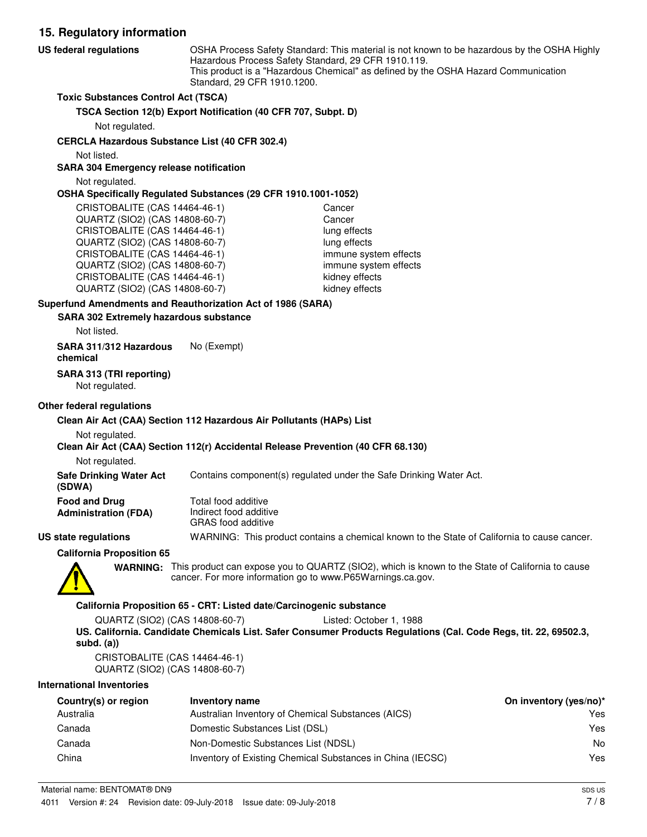**15. Regulatory information** OSHA Process Safety Standard: This material is not known to be hazardous by the OSHA Highly Hazardous Process Safety Standard, 29 CFR 1910.119. This product is a "Hazardous Chemical" as defined by the OSHA Hazard Communication Standard, 29 CFR 1910.1200. **US federal regulations Toxic Substances Control Act (TSCA) TSCA Section 12(b) Export Notification (40 CFR 707, Subpt. D)** Not regulated. **CERCLA Hazardous Substance List (40 CFR 302.4)** Not listed. **SARA 304 Emergency release notification** Not regulated. **OSHA Specifically Regulated Substances (29 CFR 1910.1001-1052)** CRISTOBALITE (CAS 14464-46-1) Cancer QUARTZ (SIO2) (CAS 14808-60-7) Cancer CRISTOBALITE (CAS 14464-46-1) lung effects QUARTZ (SIO2) (CAS 14808-60-7) lung effects CRISTOBALITE (CAS 14464-46-1) immune system effects QUARTZ (SIO2) (CAS 14808-60-7) immune system effects CRISTOBALITE (CAS 14464-46-1) kidney effects QUARTZ (SIO2) (CAS 14808-60-7) kidney effects **SARA 302 Extremely hazardous substance Superfund Amendments and Reauthorization Act of 1986 (SARA)** Not listed. **SARA 311/312 Hazardous** No (Exempt) **chemical SARA 313 (TRI reporting)** Not regulated.

#### **Other federal regulations**

#### **Clean Air Act (CAA) Section 112 Hazardous Air Pollutants (HAPs) List**

#### Not regulated.

#### **Clean Air Act (CAA) Section 112(r) Accidental Release Prevention (40 CFR 68.130)**

Not regulated.

**Safe Drinking Water Act** Contains component(s) regulated under the Safe Drinking Water Act.

| (SDWA)                      |  |
|-----------------------------|--|
| <b>Food and Drug</b>        |  |
| <b>Administration (FDA)</b> |  |

Total food additive Indirect food additive GRAS food additive

#### **US state regulations** WARNING: This product contains a chemical known to the State of California to cause cancer.

**California Proposition 65**



WARNING: This product can expose you to QUARTZ (SIO2), which is known to the State of California to cause cancer. For more information go to www.P65Warnings.ca.gov.

#### **California Proposition 65 - CRT: Listed date/Carcinogenic substance**

QUARTZ (SIO2) (CAS 14808-60-7) Listed: October 1, 1988 **US. California. Candidate Chemicals List. Safer Consumer Products Regulations (Cal. Code Regs, tit. 22, 69502.3, subd. (a))**

CRISTOBALITE (CAS 14464-46-1) QUARTZ (SIO2) (CAS 14808-60-7)

#### **International Inventories**

| Country(s) or region | Inventory name                                             | On inventory (yes/no)* |
|----------------------|------------------------------------------------------------|------------------------|
| Australia            | Australian Inventory of Chemical Substances (AICS)         | Yes                    |
| Canada               | Domestic Substances List (DSL)                             | Yes                    |
| Canada               | Non-Domestic Substances List (NDSL)                        | No                     |
| China                | Inventory of Existing Chemical Substances in China (IECSC) | Yes                    |